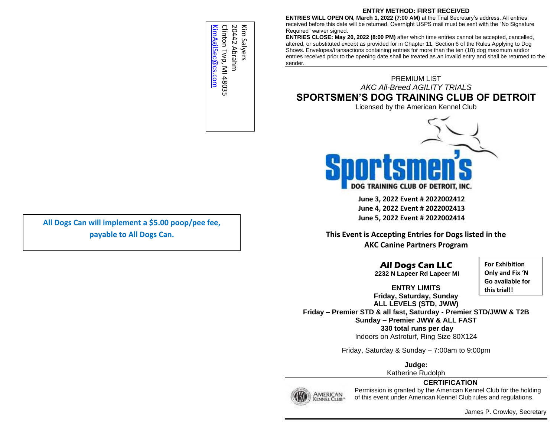## **ENTRY METHOD: FIRST RECEIVED**

**ENTRIES WILL OPEN ON, March 1, 2022 (7:00 AM)** at the Trial Secretary's address. All entries received before this date will be returned. Overnight USPS mail must be sent with the "No Signature Required" waiver signed.

**ENTRIES CLOSE: May 20, 2022 (8:00 PM)** after which time entries cannot be accepted, cancelled, altered, or substituted except as provided for in Chapter 11, Section 6 of the Rules Applying to Dog Shows. Envelopes/transactions containing entries for more than the ten (10) dog maximum and/or entries received prior to the opening date shall be treated as an invalid entry and shall be returned to the sender.

PREMIUM LIST *AKC All-Breed AGILITY TRIALS* **SPORTSMEN'S DOG TRAINING CLUB OF DETROIT**

Licensed by the American Kennel Club



**June 3, 2022 Event # 2022002412 June 4, 2022 Event # 2022002413 June 5, 2022 Event # 2022002414**

**This Event is Accepting Entries for Dogs listed in the AKC Canine Partners Program**

> **All Dogs Can LLC 2232 N Lapeer Rd Lapeer MI**

**For Exhibition Only and Fix 'N Go available for this trial!!**

**ENTRY LIMITS Friday, Saturday, Sunday ALL LEVELS (STD, JWW)**

**Friday – Premier STD & all fast, Saturday - Premier STD/JWW & T2B Sunday – Premier JWW & ALL FAST 330 total runs per day** Indoors on Astroturf, Ring Size 80X124

Friday, Saturday & Sunday – 7:00am to 9:00pm

**Judge:**

Katherine Rudolph





Permission is granted by the American Kennel Club for the holding of this event under American Kennel Club rules and regulations.

**payable to All Dogs Can.**

Kim Salyers<br>20442 Abrahm Clinton Twp, MI 48035 KimAgilSec@cs.com [KimAgilSec@cs.com](mailto:KimAgilSec@cs.com) Clinton Twp, MI 48035 20442 Abrahm Kim Salyers

**All Dogs Can will implement a \$5.00 poop/pee fee,** 

James P. Crowley, Secretary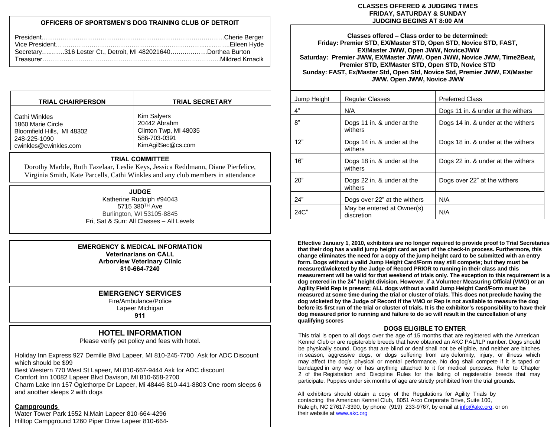# **OFFICERS OF SPORTSMEN'S DOG TRAINING CLUB OF DETROIT**

| Secretary316 Lester Ct., Detroit, MI 482021640Dorthea Burton |  |
|--------------------------------------------------------------|--|
|                                                              |  |

| <b>TRIAL CHAIRPERSON</b>   | <b>TRIAL SECRETARY</b> |
|----------------------------|------------------------|
| Cathi Winkles              | Kim Salyers            |
| 1860 Marie Circle          | 20442 Abrahm           |
| Bloomfield Hills, MI 48302 | Clinton Twp, MI 48035  |
| 248-225-1090               | 586-703-0391           |
| cwinkles@cwinkles.com      | KimAgilSec@cs.com      |

#### **TRIAL COMMITTEE**

Dorothy Marble, Ruth Tazelaar, Leslie Keys, Jessica Reddmann, Diane Pierfelice, Virginia Smith, Kate Parcells, Cathi Winkles and any club members in attendance

#### **JUDGE**

Katherine Rudolph #94043 5715 380<sup>TH</sup> Ave Burlington, WI 53105-8845 Fri, Sat & Sun: All Classes – All Levels

#### **EMERGENCY & MEDICAL INFORMATION Veterinarians on CALL Arborview Veterinary Clinic**

**810-664-7240**

# **EMERGENCY SERVICES**

Fire/Ambulance/Police Lapeer Michigan

# **911**

# **HOTEL INFORMATION**

Please verify pet policy and fees with hotel.

Holiday Inn Express 927 Demille Blvd Lapeer, MI 810-245-7700 Ask for ADC Discount which should be \$99 Best Western 770 West St Lapeer, MI 810-667-9444 Ask for ADC discount

Comfort Inn 10082 Lapeer Blvd Davison, MI 810-658-2700

Charm Lake Inn 157 Oglethorpe Dr Lapeer, Mi 48446 810‐441‐8803 One room sleeps 6 and another sleeps 2 with dogs

# **Campgrounds**

Water Tower Park 1552 N.Main Lapeer 810-664-4296 Hilltop Campground 1260 Piper Drive Lapeer 810-664-

#### **CLASSES OFFERED & JUDGING TIMES FRIDAY, SATURDAY & SUNDAY JUDGING BEGINS AT 8:00 AM**

**Classes offered – Class order to be determined: Friday: Premier STD, EX/Master STD, Open STD, Novice STD, FAST, EX/Master JWW, Open JWW, NoviceJWW Saturday: Premier JWW, EX/Master JWW, Open JWW, Novice JWW, Time2Beat, Premier STD, EX/Master STD, Open STD, Novice STD Sunday: FAST, Ex/Master Std, Open Std, Novice Std, Premier JWW, EX/Master JWW. Open JWW, Novice JWW**

| Jump Height | <b>Regular Classes</b>                   | <b>Preferred Class</b>             |
|-------------|------------------------------------------|------------------------------------|
| 4"          | N/A                                      | Dogs 11 in. & under at the withers |
| 8"          | Dogs 11 in. & under at the<br>withers    | Dogs 14 in. & under at the withers |
| 12"         | Dogs 14 in. & under at the<br>withers    | Dogs 18 in. & under at the withers |
| 16"         | Dogs 18 in. & under at the<br>withers    | Dogs 22 in. & under at the withers |
| 20"         | Dogs 22 in. & under at the<br>withers    | Dogs over 22" at the withers       |
| 24"         | Dogs over 22" at the withers             | N/A                                |
| 24C"        | May be entered at Owner(s)<br>discretion | N/A                                |

**Effective January 1, 2010, exhibitors are no longer required to provide proof to Trial Secretaries that their dog has a valid jump height card as part of the check-in process. Furthermore, this change eliminates the need for a copy of the jump height card to be submitted with an entry form. Dogs without a valid Jump Height Card/Form may still compete; but they must be measured/wicketed by the Judge of Record PRIOR to running in their class and this measurement will be valid for that weekend of trials only. The exception to this requirement is a dog entered in the 24" height division. However, if a Volunteer Measuring Official (VMO) or an Agility Field Rep is present; ALL dogs without a valid Jump Height Card/Form must be measured at some time during the trial or cluster of trials. This does not preclude having the dog wicketed by the Judge of Record if the VMO or Rep is not available to measure the dog before its first run of the trial or cluster of trials. It is the exhibitor's responsibility to have their dog measured prior to running and failure to do so will result in the cancellation of any qualifying scores**

## **DOGS ELIGIBLE TO ENTER**

This trial is open to all dogs over the age of 15 months that are registered with the American Kennel Club or are registerable breeds that have obtained an AKC PAL/ILP number. Dogs should be physically sound. Dogs that are blind or deaf shall not be eligible, and neither are bitches in season, aggressive dogs, or dogs suffering from any deformity, injury, or illness which may affect the dog's physical or mental performance. No dog shall compete if it is taped or bandaged in any way or has anything attached to it for medical purposes. Refer to Chapter 2 of the Registration and Discipline Rules for the listing of registerable breeds that may participate. Puppies under six months of age are strictly prohibited from the trial grounds.

All exhibitors should obtain a copy of the Regulations for Agility Trials by contacting the American Kennel Club, 8051 Arco Corporate Drive, Suite 100, Raleigh, NC 27617-3390, by phone (919) 233-9767, by email a[t info@akc.org,](mailto:info@akc.org) or on their website a[t www.akc.org](http://www.akc.org/)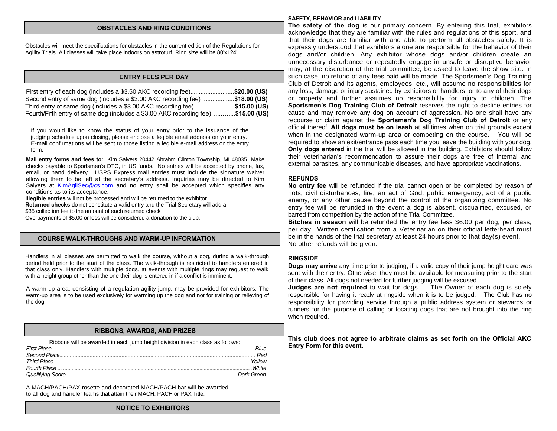#### **OBSTACLES AND RING CONDITIONS**

Obstacles will meet the specifications for obstacles in the current edition of the Regulations for Agility Trials. All classes will take place indoors on astroturf. Ring size will be 80'x124''.

#### **ENTRY FEES PER DAY**

| First entry of each dog (includes a \$3.50 AKC recording fee)\$20.00 (US)        |  |
|----------------------------------------------------------------------------------|--|
| Second entry of same dog (includes a \$3.00 AKC recording fee) \$18.00 (US)      |  |
| Third entry of same dog (includes a \$3.00 AKC recording fee) \$15.00 (US)       |  |
| Fourth/Fifth entry of same dog (includes a \$3.00 AKC recording fee)\$15.00 (US) |  |

If you would like to know the status of your entry prior to the issuance of the judging schedule upon closing, please enclose a legible email address on your entry.. E-mail confirmations will be sent to those listing a legible e-mail address on the entry form.

**Mail entry forms and fees to:** Kim Salyers 20442 Abrahm Clinton Township, MI 48035. Make checks payable to Sportsmen's DTC, in US funds. No entries will be accepted by phone, fax, email, or hand delivery. USPS Express mail entries must include the signature waiver allowing them to be left at the secretary's address. Inquiries may be directed to Kim Salyers at [KimAgilSec@cs.com](mailto:KimAgilSec@cs.com) and no entry shall be accepted which specifies any conditions as to its acceptance.

**Illegible entries** will not be processed and will be returned to the exhibitor. **Returned checks** do not constitute a valid entry and the Trial Secretary will add a \$35 collection fee to the amount of each returned check

Overpayments of \$5.00 or less will be considered a donation to the club.

#### **COURSE WALK-THROUGHS AND WARM-UP INFORMATION**

Handlers in all classes are permitted to walk the course, without a dog, during a walk-through period held prior to the start of the class. The walk-through is restricted to handlers entered in that class only. Handlers with multiple dogs, at events with multiple rings may request to walk with a height group other than the one their dog is entered in if a conflict is imminent.

A warm-up area, consisting of a regulation agility jump, may be provided for exhibitors. The warm-up area is to be used exclusively for warming up the dog and not for training or relieving of the dog.

#### **RIBBONS, AWARDS, AND PRIZES**

Ribbons will be awarded in each jump height division in each class as follows:

A MACH/PACH/PAX rosette and decorated MACH/PACH bar will be awarded to all dog and handler teams that attain their MACH, PACH or PAX Title.

#### **SAFETY, BEHAVIOR and LIABILITY**

**The safety of the dog** is our primary concern. By entering this trial, exhibitors acknowledge that they are familiar with the rules and regulations of this sport, and that their dogs are familiar with and able to perform all obstacles safely. It is expressly understood that exhibitors alone are responsible for the behavior of their dogs and/or children. Any exhibitor whose dogs and/or children create an unnecessary disturbance or repeatedly engage in unsafe or disruptive behavior may, at the discretion of the trial committee, be asked to leave the show site. In such case, no refund of any fees paid will be made. The Sportsmen's Dog Training Club of Detroit and its agents, employees, etc., will assume no responsibilities for any loss, damage or injury sustained by exhibitors or handlers, or to any of their dogs or property and further assumes no responsibility for injury to children. The **Sportsmen's Dog Training Club of Detroit** reserves the right to decline entries for cause and may remove any dog on account of aggression. No one shall have any recourse or claim against the **Sportsmen's Dog Training Club of Detroit** or any official thereof. **All dogs must be on leash** at all times when on trial grounds except when in the designated warm-up area or competing on the course. You will be required to show an exit/entrance pass each time you leave the building with your dog. **Only dogs entered** in the trial will be allowed in the building. Exhibitors should follow their veterinarian's recommendation to assure their dogs are free of internal and external parasites, any communicable diseases, and have appropriate vaccinations.

#### **REFUNDS**

**No entry fee** will be refunded if the trial cannot open or be completed by reason of riots, civil disturbances, fire, an act of God, public emergency, act of a public enemy, or any other cause beyond the control of the organizing committee. No entry fee will be refunded in the event a dog is absent, disqualified, excused, or barred from competition by the action of the Trial Committee.

**Bitches in season** will be refunded the entry fee less \$6.00 per dog, per class, per day. Written certification from a Veterinarian on their official letterhead must be in the hands of the trial secretary at least 24 hours prior to that day(s) event. No other refunds will be given.

#### **RINGSIDE**

**Dogs may arrive** any time prior to judging, if a valid copy of their jump height card was sent with their entry. Otherwise, they must be available for measuring prior to the start of their class. All dogs not needed for further judging will be excused.

**Judges are not required** to wait for dogs. The Owner of each dog is solely responsible for having it ready at ringside when it is to be judged. The Club has no responsibility for providing service through a public address system or stewards or runners for the purpose of calling or locating dogs that are not brought into the ring when required.

**This club does not agree to arbitrate claims as set forth on the Official AKC Entry Form for this event.**

#### **NOTICE TO EXHIBITORS**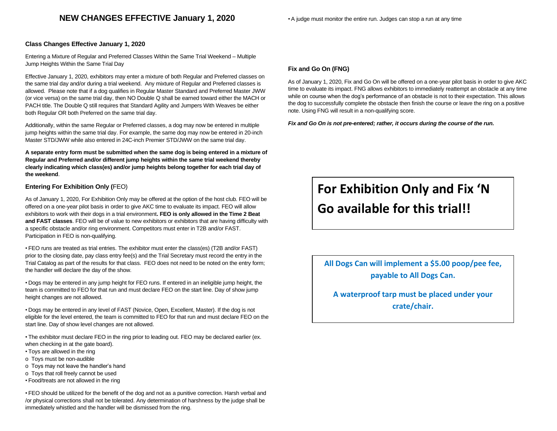# **NEW CHANGES EFFECTIVE January 1, 2020**

#### • A judge must monitor the entire run. Judges can stop a run at any time

#### **Class Changes Effective January 1, 2020**

Entering a Mixture of Regular and Preferred Classes Within the Same Trial Weekend – Multiple Jump Heights Within the Same Trial Day

Effective January 1, 2020, exhibitors may enter a mixture of both Regular and Preferred classes on the same trial day and/or during a trial weekend. Any mixture of Regular and Preferred classes is allowed. Please note that if a dog qualifies in Regular Master Standard and Preferred Master JWW (or vice versa) on the same trial day, then NO Double Q shall be earned toward either the MACH or PACH title. The Double Q still requires that Standard Agility and Jumpers With Weaves be either both Regular OR both Preferred on the same trial day.

Additionally, within the same Regular or Preferred classes, a dog may now be entered in multiple jump heights within the same trial day. For example, the same dog may now be entered in 20-inch Master STD/JWW while also entered in 24C-inch Premier STD/JWW on the same trial day.

**A separate entry form must be submitted when the same dog is being entered in a mixture of Regular and Preferred and/or different jump heights within the same trial weekend thereby clearly indicating which class(es) and/or jump heights belong together for each trial day of the weekend**.

#### **Entering For Exhibition Only (**FEO)

As of January 1, 2020, For Exhibition Only may be offered at the option of the host club. FEO will be offered on a one-year pilot basis in order to give AKC time to evaluate its impact. FEO will allow exhibitors to work with their dogs in a trial environment**. FEO is only allowed in the Time 2 Beat and FAST classes**. FEO will be of value to new exhibitors or exhibitors that are having difficulty with a specific obstacle and/or ring environment. Competitors must enter in T2B and/or FAST. Participation in FEO is non-qualifying.

• FEO runs are treated as trial entries. The exhibitor must enter the class(es) (T2B and/or FAST) prior to the closing date, pay class entry fee(s) and the Trial Secretary must record the entry in the Trial Catalog as part of the results for that class. FEO does not need to be noted on the entry form; the handler will declare the day of the show.

• Dogs may be entered in any jump height for FEO runs. If entered in an ineligible jump height, the team is committed to FEO for that run and must declare FEO on the start line. Day of show jump height changes are not allowed.

• Dogs may be entered in any level of FAST (Novice, Open, Excellent, Master). If the dog is not eligible for the level entered, the team is committed to FEO for that run and must declare FEO on the start line. Day of show level changes are not allowed.

• The exhibitor must declare FEO in the ring prior to leading out. FEO may be declared earlier (ex. when checking in at the gate board).

- Toys are allowed in the ring
- o Toys must be non-audible
- o Toys may not leave the handler's hand
- o Toys that roll freely cannot be used
- Food/treats are not allowed in the ring

• FEO should be utilized for the benefit of the dog and not as a punitive correction. Harsh verbal and /or physical corrections shall not be tolerated. Any determination of harshness by the judge shall be immediately whistled and the handler will be dismissed from the ring.

#### **Fix and Go On (FNG)**

As of January 1, 2020, Fix and Go On will be offered on a one-year pilot basis in order to give AKC time to evaluate its impact. FNG allows exhibitors to immediately reattempt an obstacle at any time while on course when the dog's performance of an obstacle is not to their expectation. This allows the dog to successfully complete the obstacle then finish the course or leave the ring on a positive note. Using FNG will result in a non-qualifying score.

*Fix and Go On is not pre-entered; rather, it occurs during the course of the run.*

# **For Exhibition Only and Fix 'N Go available for this trial!!**

**All Dogs Can will implement a \$5.00 poop/pee fee, payable to All Dogs Can.**

**A waterproof tarp must be placed under your crate/chair.**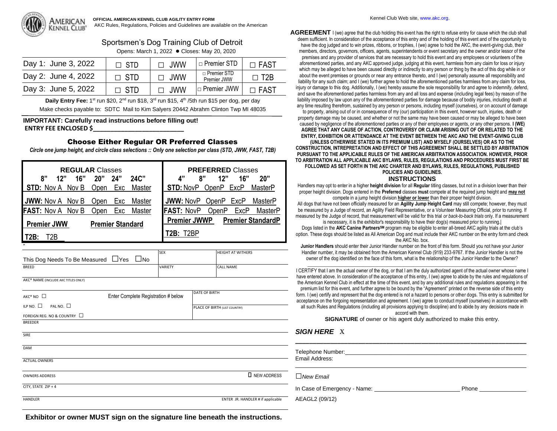

# Sportsmen's Dog Training Club of Detroit

Opens: March 1, 2022 ● Closes: May 20, 2020

| Day 1: June 3, 2022 | $\Box$ STD | $\Box$ JWW | $\vert$ $\Box$ Premier STD        | $\Box$ FAST             |
|---------------------|------------|------------|-----------------------------------|-------------------------|
| Day 2: June 4, 2022 | $\Box$ STD | $\Box$ JWW | $\Box$ Premier STD<br>Premier JWW | $\Box$ T <sub>2</sub> B |
| Day 3: June 5, 2022 | $\Box$ STD | $\Box$ JWW | $\Box$ Premier JWW                | $\Box$ FAST             |

Daily Entry Fee: 1<sup>st</sup> run \$20, 2<sup>nd</sup> run \$18, 3<sup>rd</sup> run \$15, 4<sup>th</sup> /5th run \$15 per dog, per day Make checks payable to: SDTC Mail to Kim Salyers 20442 Abrahm Clinton Twp MI 48035

## **IMPORTANT: Carefully read instructions before filling out! ENTRY FEE ENCLOSED \$\_\_\_\_\_\_\_\_\_\_\_\_\_\_\_\_\_\_\_\_\_\_\_\_\_\_**

# Choose Either Regular OR Preferred Classes

*Circle one jump height, and circle class selections :: Only one selection per class (STD, JWW, FAST, T2B)*

| <b>REGULAR Classes</b>                            | <b>PREFERRED Classes</b>                        |  |
|---------------------------------------------------|-------------------------------------------------|--|
| 8"<br>16"<br>$24C$ "<br><b>20"</b><br>24"<br>12"  | 16"<br>12"<br>4"<br>8"<br>20"                   |  |
| STD: Nov A Nov B<br>Master<br>Open<br>Exc         | <b>STD: NovP OpenP ExcP</b><br>MasterP          |  |
| <b>JWW:</b> Nov A Nov B<br>Exc<br>Master<br>Open  | <b>JWW: NovP OpenP ExcP</b><br>MasterP          |  |
| <b>FAST:</b> Nov A Nov B<br>Exc<br>Master<br>Open | <b>FAST: NovP</b><br>OpenP<br>ExcP<br>MasterP   |  |
| <b>Premier JWW</b><br><b>Premier Standard</b>     | <b>Premier JWWP</b><br><b>Premier StandardP</b> |  |
| T2B<br>T2B:                                       | T2B: T2BP                                       |  |

| <b>SEX</b>     | <b>HEIGHT AT WITHERS</b> |
|----------------|--------------------------|
|                |                          |
| <b>VARIETY</b> | <b>CALL NAME</b>         |
|                |                          |

AKC® NAME (INCLUDE AKC TITLES ONLY)

| $AKC^*NO$ $\square$                    | Enter Complete Registration # below | DATE OF BIRTH                     |
|----------------------------------------|-------------------------------------|-----------------------------------|
| PAL NO. $\square$<br>ILP NO. $\square$ |                                     | PLACE OF BIRTH (LIST COUNTRY)     |
| FOREIGN REG. NO & COUNTRY □            |                                     |                                   |
| <b>BREEDER</b>                         |                                     |                                   |
| SIRE                                   |                                     |                                   |
| <b>DAM</b>                             |                                     |                                   |
| <b>ACTUAL OWNERS</b>                   |                                     |                                   |
| <b>OWNERS ADDRESS</b>                  |                                     | <b>I</b> NEW ADDRESS              |
| CITY, STATE ZIP + 4                    |                                     |                                   |
| <b>HANDLER</b>                         |                                     | ENTER JR. HANDLER # if applicable |

**Exhibitor or owner MUST sign on the signature line beneath the instructions.**

**AGREEMENT** I (we) agree that the club holding this event has the right to refuse entry for cause which the club shall deem sufficient. In consideration of the acceptance of this entry and of the holding of this event and of the opportunity to have the dog judged and to win prizes, ribbons, or trophies, I (we) agree to hold the AKC, the event-giving club, their members, directors, governors, officers, agents, superintendents or event secretary and the owner and/or lessor of the premises and any provider of services that are necessary to hold this event and any employees or volunteers of the aforementioned parties, and any AKC approved judge, judging at this event, harmless from any claim for loss or injury which may be alleged to have been caused directly or indirectly to any person or thing by the act of this dog while in or about the event premises or grounds or near any entrance thereto, and I (we) personally assume all responsibility and liability for any such claim; and I (we) further agree to hold the aforementioned parties harmless from any claim for loss, injury or damage to this dog. Additionally, I (we) hereby assume the sole responsibility for and agree to indemnify, defend, and save the aforementioned parties harmless from any and all loss and expense (including legal fees) by reason of the liability imposed by law upon any of the aforementioned parties for damage because of bodily injuries, including death at any time resulting therefrom, sustained by any person or persons, including myself (ourselves), or on account of damage

to property, arising out of or in consequence of my (our) participation in this event, however such, injuries, death or property damage may be caused, and whether or not the same may have been caused or may be alleged to have been caused by negligence of the aforementioned parties or any of their employees or agents, or any other persons. **I (WE) AGREE THAT ANY CAUSE OF ACTION, CONTROVERSY OR CLAIM ARISING OUT OF OR RELATED TO THE ENTRY, EXHIBITION OR ATTENDANCE AT THE EVENT BETWEEN THE AKC AND THE EVENT-GIVING CLUB** 

**(UNLESS OTHERWISE STATED IN ITS PREMIUM LIST) AND MYSELF (OURSELVES) OR AS TO THE CONSTRUCTION, INTREPRETATION AND EFFECT OF THIS AGREEMENT SHALL BE SETTLED BY ARBITRATION PURSUANT TO THE APPLICABLE RULES OF THE AMERICAN ARBITRATION ASSOCIATION. HOWEVER, PRIOR TO ARBITRATION ALL APPLICABLE AKC BYLAWS, RULES, REGULATIONS AND PROCEDURES MUST FIRST BE FOLLOWED AS SET FORTH IN THE AKC CHARTER AND BYLAWS, RULES, REGULATIONS, PUBLISHED** 

# **POLICIES AND GUIDELINES.**

#### **INSTRUCTIONS**

Handlers may opt to enter in a higher **height division** for all **Regular** titling classes, but not in a division lower than their proper height division. Dogs entered in the **Preferred** classes **must** compete at the required jump height and **may not** compete in a jump height division **higher or lower** than their proper height division.

All dogs that have not been officially measured for an **Agility Jump Height Card** may still compete; however, they must be measured by *a* Judge of record, an Agility Field Representative, or a Volunteer Measuring Official, prior to running. If measured by the Judge of record, that measurement will be valid for this trial *or back-to-back trials* only. If a measurement

is necessary, it is the exhibitor's responsibility to have their dog(s) measured prior to running.| Dogs listed in the **AKC Canine PartnersSM** program may be eligible to enter all-breed AKC agility trials at the club's option. These dogs should be listed as All American Dog and must include their AKC number on the entry form and check the AKC No. box.

**Junior Handlers** should enter their Junior Handler number on the front of this form. Should you not have your Junior Handler number, it may be obtained from the American Kennel Club (919) 233-9767. If the Junior Handler is not the owner of the dog identified on the face of this form, what is the relationship of the Junior Handler to the Owner?

\_\_\_\_\_\_\_\_\_\_\_\_\_\_\_\_\_\_\_\_\_\_\_\_\_\_\_\_\_\_\_\_\_\_\_\_\_\_\_\_\_\_\_\_\_\_\_\_\_\_\_\_\_\_\_\_\_\_\_\_\_\_\_\_\_\_\_\_\_\_\_\_\_\_\_\_\_\_\_\_\_\_\_\_\_\_\_ I CERTIFY that I am the actual owner of the dog, or that I am the duly authorized agent of the actual owner whose name I have entered above. In consideration of the acceptance of this entry, I (we) agree to abide by the rules and regulations of the American Kennel Club in effect at the time of this event, and by any additional rules and regulations appearing in the premium list for this event, and further agree to be bound by the "Agreement" printed on the reverse side of this entry form. I (we) certify and represent that the dog entered is not a hazard to persons or other dogs. This entry is submitted for acceptance on the forgoing representation and agreement. I (we) agree to conduct myself (ourselves) in accordance with all such Rules and Regulations (including all provisions applying to discipline) and to abide by any decisions made in accord with them.

**SIGNATURE** of owner or his agent duly authorized to make this entry.

**\_\_\_\_\_\_\_\_\_\_\_\_\_\_\_\_\_\_\_\_\_\_\_\_\_\_\_\_\_\_\_\_\_\_\_\_\_\_\_\_\_\_\_\_\_\_\_\_\_\_\_\_\_\_\_\_\_\_\_\_\_\_\_\_\_\_**

# *SIGN HERE* X

Telephone Number:  $\Box$ 

Email Address:

□*New Email*

In Case of Emergency - Name: Phone \_\_\_\_\_\_\_\_\_\_\_\_\_\_\_

AEAGL2 (09/12)

\_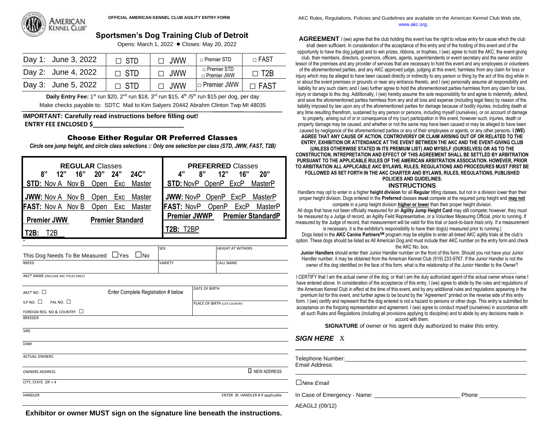

# **Sportsmen's Dog Training Club of Detroit**

Opens: March 1, 2022 **●** Closes: May 20, 2022

| Day 1: June 3, 2022 | $\Box$ STD | $\Box$ JWW | □ Premier STD                       | $\sqcap$ FAST           |
|---------------------|------------|------------|-------------------------------------|-------------------------|
| Day 2: June 4, 2022 | $\Box$ STD | $\Box$ JWW | $\Box$ Premier STD<br>□ Premier JWW | $\Box$ T <sub>2</sub> B |
| Day 3: June 5, 2022 | $\Box$ STD | $\Box$ JWW | $\Box$ Premier JWW                  | $\Box$ FAST             |

**Daily Entry Fee:** 1<sup>st</sup> run \$20, 2<sup>nd</sup> run \$18, 3<sup>rd</sup> run \$15, 4<sup>th</sup> /5<sup>th</sup> run \$15 per dog, per day Make checks payable to: SDTC Mail to Kim Salyers 20442 Abrahm Clinton Twp MI 48035

#### **IMPORTANT: Carefully read instructions before filling out! ENTRY FEE ENCLOSED \$\_\_\_\_\_\_\_\_\_\_\_\_\_\_\_\_\_\_\_\_\_\_\_\_\_\_**

# Choose Either Regular OR Preferred Classes

*Circle one jump height, and circle class selections :: Only one selection per class (STD, JWW, FAST, T2B)*

| <b>REGULAR Classes</b>       |                         | <b>PREFERRED Classes</b>                        |
|------------------------------|-------------------------|-------------------------------------------------|
| 16"<br>8"<br>12"             | 24C''<br>20"<br>24"     | 8"<br>12"<br>16"<br>4"<br>20"                   |
| <b>STD:</b> Nov A Nov B      | Open<br>Exc<br>Master   | <b>STD: NovP OpenP ExcP</b><br>MasterP          |
| <b>JWW:</b> Nov A Nov B Open | Master<br>Exc           | <b>JWW: NovP OpenP ExcP</b><br>MasterP          |
| <b>FAST:</b> Nov A Nov B     | Exc<br>Open<br>Master   | <b>FAST: NovP</b><br>ExcP<br>OpenP<br>MasterP   |
| <b>Premier JWW</b>           | <b>Premier Standard</b> | <b>Premier JWWP</b><br><b>Premier StandardP</b> |
| T2B<br>T2B:                  |                         | T2B: T2RP                                       |
|                              |                         |                                                 |

|                                                 | <b>SEX</b>     | <b>HEIGHT AT WITHERS</b> |
|-------------------------------------------------|----------------|--------------------------|
| This Dog Needs To Be Measured ∐Yes ∐No          |                |                          |
| <b>BREED</b>                                    | <b>VARIETY</b> | <b>CALL NAME</b>         |
| AKC <sup>®</sup> NAME (INCLUDE AKC TITLES ONLY) |                |                          |
|                                                 |                | <b>DATE OF BIRTH</b>     |

| $AKC^*NO$ $\square$                    | Enter Complete Registration # below | <b>DATE OF BIRTH</b>          |
|----------------------------------------|-------------------------------------|-------------------------------|
| ILP NO. $\square$<br>PAL NO. $\square$ |                                     | PLACE OF BIRTH (LIST COUNTRY) |
| FOREIGN REG. NO & COUNTRY $\Box$       |                                     |                               |
| <b>BREEDER</b>                         |                                     |                               |
|                                        |                                     |                               |
| <b>SIRE</b>                            |                                     |                               |
| DAM                                    |                                     |                               |
|                                        |                                     |                               |
| <b>ACTUAL OWNERS</b>                   |                                     |                               |

OWNERS ADDRESS  $\Box$  NEW ADDRESS

CITY, STATE ZIP + 4

HANDLER ENTER JR. HANDLER # if applicable

OFFICIAL AMERICAN KENNEL CLUB AGILITY ENTRY FORM **AKC Rules, Regulations, Policies and Guidelines are available on the American Kennel Club Web site,** www.akc.org.

**AGREEMENT** I (we) agree that the club holding this event has the right to refuse entry for cause which the club

shall deem sufficient. In consideration of the acceptance of this entry and of the holding of this event and of the opportunity to have the dog judged and to win prizes, ribbons, or trophies, I (we) agree to hold the AKC, the event-giving club, their members, directors, governors, officers, agents, superintendents or event secretary and the owner and/or lessor of the premises and any provider of services that are necessary to hold this event and any employees or volunteers of the aforementioned parties, and any AKC approved judge, judging at this event, harmless from any claim for loss or injury which may be alleged to have been caused directly or indirectly to any person or thing by the act of this dog while in or about the event premises or grounds or near any entrance thereto, and I (we) personally assume all responsibility and liability for any such claim; and I (we) further agree to hold the aforementioned parties harmless from any claim for loss,

injury or damage to this dog. Additionally, I (we) hereby assume the sole responsibility for and agree to indemnify, defend, and save the aforementioned parties harmless from any and all loss and expense (including legal fees) by reason of the liability imposed by law upon any of the aforementioned parties for damage because of bodily injuries, including death at any time resulting therefrom, sustained by any person or persons, including myself (ourselves), or on account of damage

to property, arising out of or in consequence of my (our) participation in this event, however such, injuries, death or property damage may be caused, and whether or not the same may have been caused or may be alleged to have been caused by negligence of the aforementioned parties or any of their employees or agents, or any other persons. **I (WE) AGREE THAT ANY CAUSE OF ACTION, CONTROVERSY OR CLAIM ARISING OUT OF OR RELATED TO THE ENTRY, EXHIBITION OR ATTENDANCE AT THE EVENT BETWEEN THE AKC AND THE EVENT-GIVING CLUB** 

**(UNLESS OTHERWISE STATED IN ITS PREMIUM LIST) AND MYSELF (OURSELVES) OR AS TO THE CONSTRUCTION, INTREPRETATION AND EFFECT OF THIS AGREEMENT SHALL BE SETTLED BY ARBITRATION PURSUANT TO THE APPLICABLE RULES OF THE AMERICAN ARBITRATION ASSOCIATION. HOWEVER, PRIOR TO ARBITRATION ALL APPLICABLE AKC BYLAWS, RULES, REGULATIONS AND PROCEDURES MUST FIRST BE FOLLOWED AS SET FORTH IN THE AKC CHARTER AND BYLAWS, RULES, REGULATIONS, PUBLISHED** 

**POLICIES AND GUIDELINES.** 

#### **INSTRUCTIONS**

Handlers may opt to enter in a higher **height division** for all **Regular** titling classes, but not in a division lower than their proper height division. Dogs entered in the **Preferred** classes **must** compete at the required jump height and **may not** compete in a jump height division **higher or lower** than their proper height division.

All dogs that have not been officially measured for an **Agility Jump Height Card** may still compete; however, they must be measured by *a* Judge of record, an Agility Field Representative, or a Volunteer Measuring Official, prior to running. If measured by the Judge of record, that measurement will be valid for this trial *or back-to-back trials* only. If a measurement

is necessary, it is the exhibitor's responsibility to have their dog(s) measured prior to running.| Dogs listed in the **AKC Canine PartnersSM** program may be eligible to enter all-breed AKC agility trials at the club's option. These dogs should be listed as All American Dog and must include their AKC number on the entry form and check the AKC No. box.

**Junior Handlers** should enter their Junior Handler number on the front of this form. Should you not have your Junior Handler number, it may be obtained from the American Kennel Club (919) 233-9767. If the Junior Handler is not the owner of the dog identified on the face of this form, what is the relationship of the Junior Handler to the Owner?

\_\_\_\_\_\_\_\_\_\_\_\_\_\_\_\_\_\_\_\_\_\_\_\_\_\_\_\_\_\_\_\_\_\_\_\_\_\_\_\_\_\_\_\_\_\_\_\_\_\_\_\_\_\_\_\_\_\_\_\_\_\_\_\_\_\_\_\_\_\_\_\_\_\_\_\_\_\_\_\_\_\_\_\_\_\_\_ I CERTIFY that I am the actual owner of the dog, or that I am the duly authorized agent of the actual owner whose name I have entered above. In consideration of the acceptance of this entry, I (we) agree to abide by the rules and regulations of the American Kennel Club in effect at the time of this event, and by any additional rules and regulations appearing in the premium list for this event, and further agree to be bound by the "Agreement" printed on the reverse side of this entry form. I (we) certify and represent that the dog entered is not a hazard to persons or other dogs. This entry is submitted for acceptance on the forgoing representation and agreement. I (we) agree to conduct myself (ourselves) in accordance with all such Rules and Regulations (including all provisions applying to discipline) and to abide by any decisions made in

accord with them.

**SIGNATURE** of owner or his agent duly authorized to make this entry.

**\_\_\_\_\_\_\_\_\_\_\_\_\_\_\_\_\_\_\_\_\_\_\_\_\_\_\_\_\_\_\_\_\_\_\_\_\_\_\_\_\_\_\_\_\_\_\_\_\_\_\_\_\_\_\_\_\_\_\_\_\_\_\_\_\_\_**

# *SIGN HERE* X

Telephone Number:

Email Address:

□*New Email*

In Case of Emergency - Name: example and the case of Phone

 $\overline{a}$ 

AEAGL2 (09/12)

**Exhibitor or owner MUST sign on the signature line beneath the instructions.**